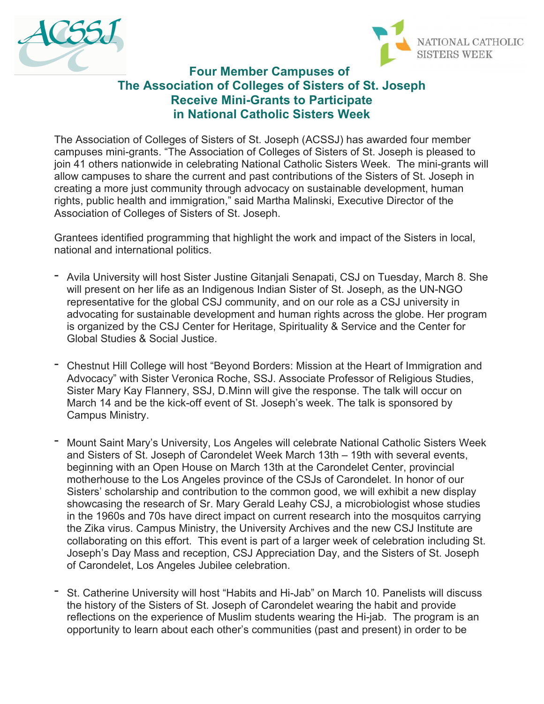



## **Four Member Campuses of The Association of Colleges of Sisters of St. Joseph Receive Mini-Grants to Participate in National Catholic Sisters Week**

The Association of Colleges of Sisters of St. Joseph (ACSSJ) has awarded four member campuses mini-grants. "The Association of Colleges of Sisters of St. Joseph is pleased to join 41 others nationwide in celebrating National Catholic Sisters Week. The mini-grants will allow campuses to share the current and past contributions of the Sisters of St. Joseph in creating a more just community through advocacy on sustainable development, human rights, public health and immigration," said Martha Malinski, Executive Director of the Association of Colleges of Sisters of St. Joseph.

Grantees identified programming that highlight the work and impact of the Sisters in local, national and international politics.

- Avila University will host Sister Justine Gitanjali Senapati, CSJ on Tuesday, March 8. She will present on her life as an Indigenous Indian Sister of St. Joseph, as the UN-NGO representative for the global CSJ community, and on our role as a CSJ university in advocating for sustainable development and human rights across the globe. Her program is organized by the CSJ Center for Heritage, Spirituality & Service and the Center for Global Studies & Social Justice.
- Chestnut Hill College will host "Beyond Borders: Mission at the Heart of Immigration and Advocacy" with Sister Veronica Roche, SSJ. Associate Professor of Religious Studies, Sister Mary Kay Flannery, SSJ, D.Minn will give the response. The talk will occur on March 14 and be the kick-off event of St. Joseph's week. The talk is sponsored by Campus Ministry.
- Mount Saint Mary's University, Los Angeles will celebrate National Catholic Sisters Week and Sisters of St. Joseph of Carondelet Week March 13th – 19th with several events, beginning with an Open House on March 13th at the Carondelet Center, provincial motherhouse to the Los Angeles province of the CSJs of Carondelet. In honor of our Sisters' scholarship and contribution to the common good, we will exhibit a new display showcasing the research of Sr. Mary Gerald Leahy CSJ, a microbiologist whose studies in the 1960s and 70s have direct impact on current research into the mosquitos carrying the Zika virus. Campus Ministry, the University Archives and the new CSJ Institute are collaborating on this effort. This event is part of a larger week of celebration including St. Joseph's Day Mass and reception, CSJ Appreciation Day, and the Sisters of St. Joseph of Carondelet, Los Angeles Jubilee celebration.
- St. Catherine University will host "Habits and Hi-Jab" on March 10. Panelists will discuss the history of the Sisters of St. Joseph of Carondelet wearing the habit and provide reflections on the experience of Muslim students wearing the Hi-jab. The program is an opportunity to learn about each other's communities (past and present) in order to be